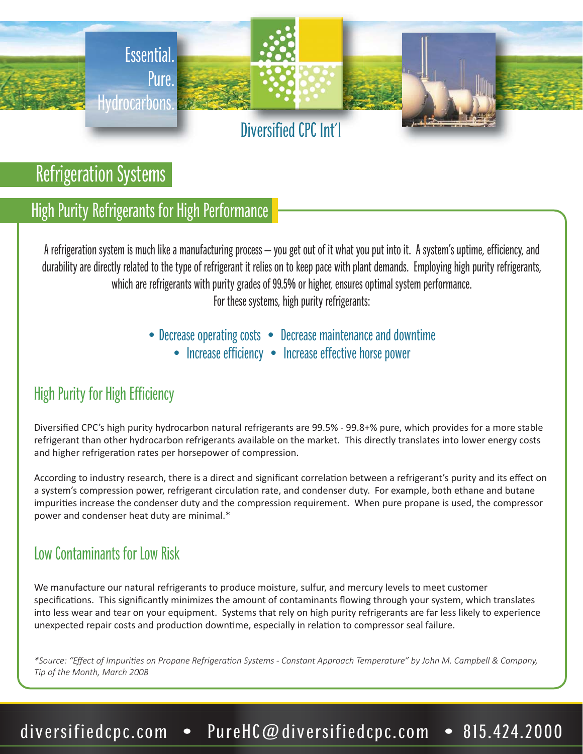

Refrigeration Systems

## High Purity Refrigerants for High Performance

A refrigeration system is much like a manufacturing process – you get out of it what you put into it. A system's uptime, efficiency, and durability are directly related to the type of refrigerant it relies on to keep pace with plant demands. Employing high purity refrigerants, which are refrigerants with purity grades of 99.5% or higher, ensures optimal system performance. For these systems, high purity refrigerants:

• Decrease operating costs • Decrease maintenance and downtime

• Increase efficiency • Increase effective horse power

### High Purity for High Efficiency

Diversified CPC's high purity hydrocarbon natural refrigerants are 99.5% - 99.8+% pure, which provides for a more stable refrigerant than other hydrocarbon refrigerants available on the market. This directly translates into lower energy costs and higher refrigeration rates per horsepower of compression.

According to industry research, there is a direct and significant correlation between a refrigerant's purity and its effect on a system's compression power, refrigerant circulation rate, and condenser duty. For example, both ethane and butane impurities increase the condenser duty and the compression requirement. When pure propane is used, the compressor power and condenser heat duty are minimal.\*

### Low Contaminants for Low Risk

We manufacture our natural refrigerants to produce moisture, sulfur, and mercury levels to meet customer specifications. This significantly minimizes the amount of contaminants flowing through your system, which translates into less wear and tear on your equipment. Systems that rely on high purity refrigerants are far less likely to experience unexpected repair costs and production downtime, especially in relation to compressor seal failure.

*\*Source: "Effect of ImpuriƟes on Propane RefrigeraƟon Systems - Constant Approach Temperature" by John M. Campbell & Company, Tip of the Month, March 2008*

# diversifiedcpc.com • PureHC@diversifiedcpc.com • 815.424.2000